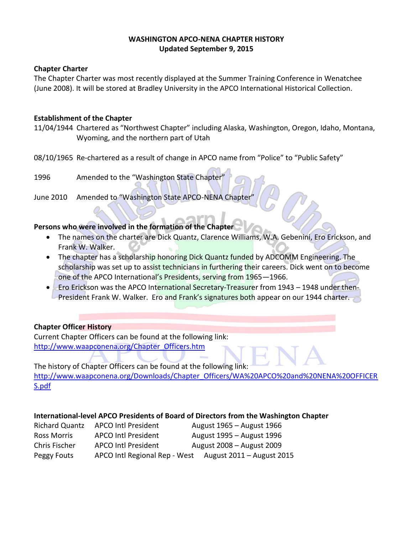### **WASHINGTON APCO-NENA CHAPTER HISTORY Updated September 9, 2015**

#### **Chapter Charter**

The Chapter Charter was most recently displayed at the Summer Training Conference in Wenatchee (June 2008). It will be stored at Bradley University in the APCO International Historical Collection.

### **Establishment of the Chapter**

- 11/04/1944 Chartered as "Northwest Chapter" including Alaska, Washington, Oregon, Idaho, Montana, Wyoming, and the northern part of Utah
- 08/10/1965 Re-chartered as a result of change in APCO name from "Police" to "Public Safety"
- 1996 Amended to the "Washington State Chapter
- June 2010 Amended to "Washington State APCO-NENA Chapter

# **Persons who were involved in the formation of the Chapter**

- The names on the charter are Dick Quantz, Clarence Williams, W.A. Gebenini, Ero Erickson, and Frank W. Walker.
- The chapter has a scholarship honoring Dick Quantz funded by ADCOMM Engineering. The scholarship was set up to assist technicians in furthering their careers. Dick went on to become one of the APCO International's Presidents, serving from 1965—1966.
- Ero Erickson was the APCO International Secretary-Treasurer from 1943 1948 under then-President Frank W. Walker. Ero and Frank's signatures both appear on our 1944 charter.

# **Chapter Officer History**

Current Chapter Officers can be found at the following link: [http://www.waapconena.org/Chapter\\_Officers.htm](http://www.waapconena.org/Chapter_Officers.htm)

The history of Chapter Officers can be found at the following link: [http://www.waapconena.org/Downloads/Chapter\\_Officers/WA%20APCO%20and%20NENA%20OFFICER](http://www.waapconena.org/Downloads/Chapter_Officers/WA%20APCO%20and%20NENA%20OFFICERS.pdf) [S.pdf](http://www.waapconena.org/Downloads/Chapter_Officers/WA%20APCO%20and%20NENA%20OFFICERS.pdf)

#### **International-level APCO Presidents of Board of Directors from the Washington Chapter**

| <b>Richard Quantz</b> | <b>APCO Intl President</b>    | August 1965 – August 1966 |
|-----------------------|-------------------------------|---------------------------|
| <b>Ross Morris</b>    | <b>APCO Intl President</b>    | August 1995 - August 1996 |
| Chris Fischer         | <b>APCO Intl President</b>    | August 2008 - August 2009 |
| Peggy Fouts           | APCO Intl Regional Rep - West | August 2011 – August 2015 |